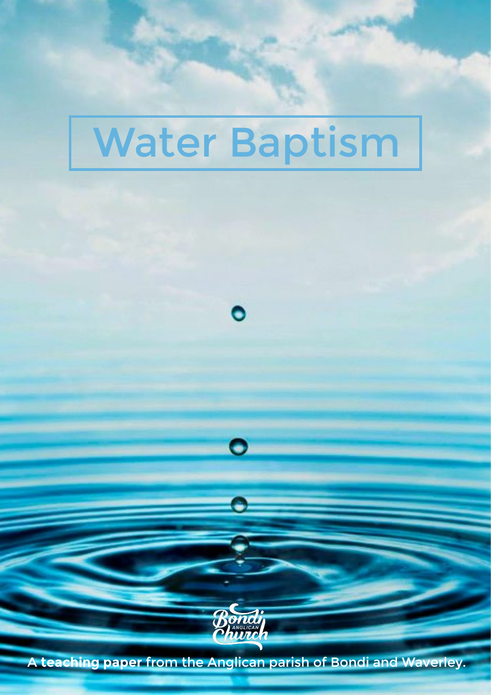# Water Baptism

 $\bullet$ 

 $\bullet$ 



A teaching paper from the Anglican parish of Bondi and Waverley.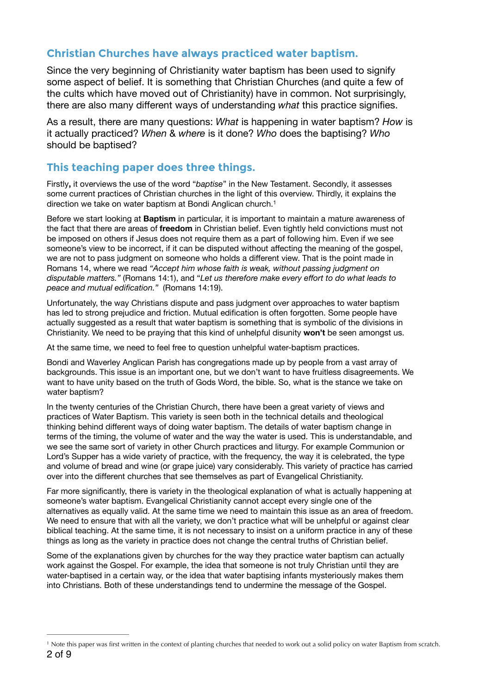# **Christian Churches have always practiced water baptism.**

Since the very beginning of Christianity water baptism has been used to signify some aspect of belief. It is something that Christian Churches (and quite a few of the cults which have moved out of Christianity) have in common. Not surprisingly, there are also many different ways of understanding *what* this practice signifies.

As a result, there are many questions: *What* is happening in water baptism? *How* is it actually practiced? *When* & *where* is it done? *Who* does the baptising? *Who* should be baptised?

## **This teaching paper does three things.**

Firstly**,** it overviews the use of the word "*baptise*" in the New Testament. Secondly, it assesses some current practices of Christian churches in the light of this overview. Thirdly, it explains the direction we take on water baptism at Bondi Anglican church.<sup>1</sup>

<span id="page-1-1"></span>Before we start looking at **Baptism** in particular, it is important to maintain a mature awareness of the fact that there are areas of **freedom** in Christian belief. Even tightly held convictions must not be imposed on others if Jesus does not require them as a part of following him. Even if we see someone's view to be incorrect, if it can be disputed without affecting the meaning of the gospel, we are not to pass judgment on someone who holds a different view. That is the point made in Romans 14, where we read *"Accept him whose faith is weak, without passing judgment on disputable matters."* (Romans 14:1), and "*Let us therefore make every effort to do what leads to peace and mutual edification."* (Romans 14:19).

Unfortunately, the way Christians dispute and pass judgment over approaches to water baptism has led to strong prejudice and friction. Mutual edification is often forgotten. Some people have actually suggested as a result that water baptism is something that is symbolic of the divisions in Christianity. We need to be praying that this kind of unhelpful disunity **won't** be seen amongst us.

At the same time, we need to feel free to question unhelpful water-baptism practices.

Bondi and Waverley Anglican Parish has congregations made up by people from a vast array of backgrounds. This issue is an important one, but we don't want to have fruitless disagreements. We want to have unity based on the truth of Gods Word, the bible. So, what is the stance we take on water baptism?

In the twenty centuries of the Christian Church, there have been a great variety of views and practices of Water Baptism. This variety is seen both in the technical details and theological thinking behind different ways of doing water baptism. The details of water baptism change in terms of the timing, the volume of water and the way the water is used. This is understandable, and we see the same sort of variety in other Church practices and liturgy. For example Communion or Lord's Supper has a wide variety of practice, with the frequency, the way it is celebrated, the type and volume of bread and wine (or grape juice) vary considerably. This variety of practice has carried over into the different churches that see themselves as part of Evangelical Christianity.

Far more significantly, there is variety in the theological explanation of what is actually happening at someone's water baptism. Evangelical Christianity cannot accept every single one of the alternatives as equally valid. At the same time we need to maintain this issue as an area of freedom. We need to ensure that with all the variety, we don't practice what will be unhelpful or against clear biblical teaching. At the same time, it is not necessary to insist on a uniform practice in any of these things as long as the variety in practice does not change the central truths of Christian belief.

Some of the explanations given by churches for the way they practice water baptism can actually work against the Gospel. For example, the idea that someone is not truly Christian until they are water-baptised in a certain way, or the idea that water baptising infants mysteriously makes them into Christians. Both of these understandings tend to undermine the message of the Gospel.

<span id="page-1-0"></span><sup>&</sup>lt;sup>[1](#page-1-1)</sup> Note this paper was first written in the context of planting churches that needed to work out a solid policy on water Baptism from scratch. 2 of 9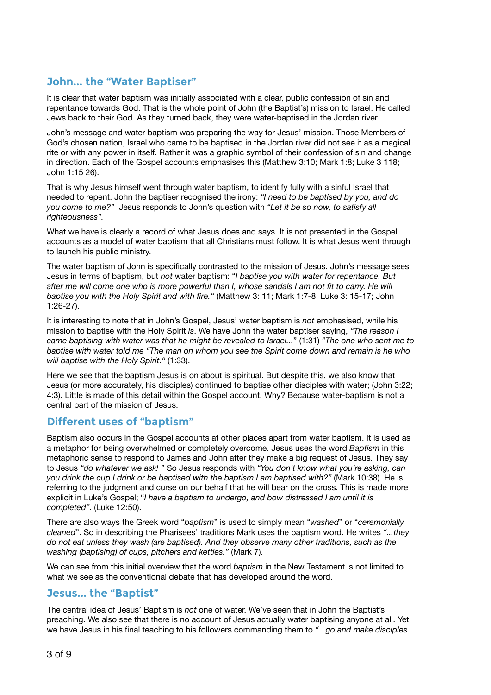# **John... the "Water Baptiser"**

It is clear that water baptism was initially associated with a clear, public confession of sin and repentance towards God. That is the whole point of John (the Baptist's) mission to Israel. He called Jews back to their God. As they turned back, they were water-baptised in the Jordan river.

John's message and water baptism was preparing the way for Jesus' mission. Those Members of God's chosen nation, Israel who came to be baptised in the Jordan river did not see it as a magical rite or with any power in itself. Rather it was a graphic symbol of their confession of sin and change in direction. Each of the Gospel accounts emphasises this (Matthew 3:10; Mark 1:8; Luke 3 118; John 1:15 26).

That is why Jesus himself went through water baptism, to identify fully with a sinful Israel that needed to repent. John the baptiser recognised the irony: *"I need to be baptised by you, and do you come to me?"* Jesus responds to John's question with *"Let it be so now, to satisfy all righteousness".*

What we have is clearly a record of what Jesus does and says. It is not presented in the Gospel accounts as a model of water baptism that all Christians must follow. It is what Jesus went through to launch his public ministry.

The water baptism of John is specifically contrasted to the mission of Jesus. John's message sees Jesus in terms of baptism, but *not* water baptism: "*I baptise you with water for repentance. But*  after me will come one who is more powerful than I, whose sandals I am not fit to carry. He will *baptise you with the Holy Spirit and with fire."* (Matthew 3: 11; Mark 1:7-8: Luke 3: 15-17; John 1:26-27).

It is interesting to note that in John's Gospel, Jesus' water baptism is *not* emphasised, while his mission to baptise with the Holy Spirit *is*. We have John the water baptiser saying, *"The reason I came baptising with water was that he might be revealed to Israel...*" (1:31) *"The one who sent me to baptise with water told me "The man on whom you see the Spirit come down and remain is he who will baptise with the Holy Spirit."* (1:33).

Here we see that the baptism Jesus is on about is spiritual. But despite this, we also know that Jesus (or more accurately, his disciples) continued to baptise other disciples with water; (John 3:22; 4:3). Little is made of this detail within the Gospel account. Why? Because water-baptism is not a central part of the mission of Jesus.

## **Different uses of "baptism"**

Baptism also occurs in the Gospel accounts at other places apart from water baptism. It is used as a metaphor for being overwhelmed or completely overcome. Jesus uses the word *Baptism* in this metaphoric sense to respond to James and John after they make a big request of Jesus. They say to Jesus *"do whatever we ask! "* So Jesus responds with *"You don't know what you're asking, can you drink the cup I drink or be baptised with the baptism I am baptised with?"* (Mark 10:38). He is referring to the judgment and curse on our behalf that he will bear on the cross. This is made more explicit in Luke's Gospel; "*I have a baptism to undergo, and bow distressed I am until it is completed"*. (Luke 12:50).

There are also ways the Greek word "*baptism*" is used to simply mean "*washed*" or "*ceremonially cleaned*". So in describing the Pharisees' traditions Mark uses the baptism word. He writes *"...they do not eat unless they wash (are baptised). And they observe many other traditions, such as the washing (baptising) of cups, pitchers and kettles."* (Mark 7).

We can see from this initial overview that the word *baptism* in the New Testament is not limited to what we see as the conventional debate that has developed around the word.

### **Jesus... the "Baptist"**

The central idea of Jesus' Baptism is *not* one of water. We've seen that in John the Baptist's preaching. We also see that there is no account of Jesus actually water baptising anyone at all. Yet we have Jesus in his final teaching to his followers commanding them to *"...go and make disciples*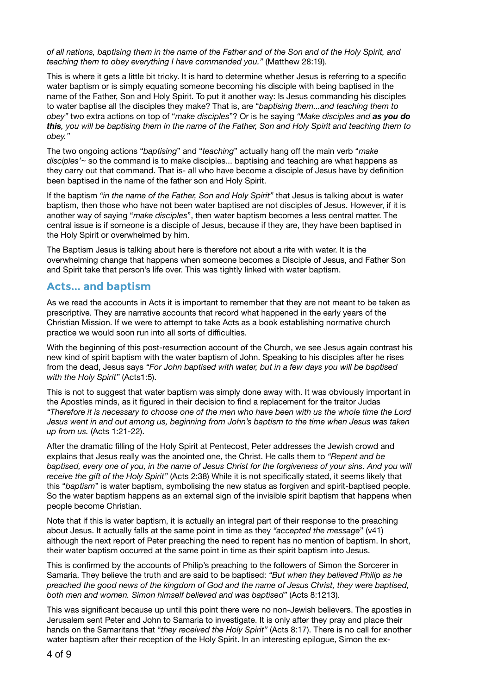*of all nations, baptising them in the name of the Father and of the Son and of the Holy Spirit, and teaching them to obey everything I have commanded you."* (Matthew 28:19).

This is where it gets a little bit tricky. It is hard to determine whether Jesus is referring to a specific water baptism or is simply equating someone becoming his disciple with being baptised in the name of the Father, Son and Holy Spirit. To put it another way: Is Jesus commanding his disciples to water baptise all the disciples they make? That is, are "*baptising them...and teaching them to obey"* two extra actions on top of "*make disciples*"? Or is he saying *"Make disciples and as you do this, you will be baptising them in the name of the Father, Son and Holy Spirit and teaching them to obey."* 

The two ongoing actions "*baptising*" and "*teaching*" actually hang off the main verb "*make disciples'*~ so the command is to make disciples... baptising and teaching are what happens as they carry out that command. That is- all who have become a disciple of Jesus have by definition been baptised in the name of the father son and Holy Spirit.

If the baptism *"in the name of the Father, Son and Holy Spirit"* that Jesus is talking about is water baptism, then those who have not been water baptised are not disciples of Jesus. However, if it is another way of saying "*make disciples*", then water baptism becomes a less central matter. The central issue is if someone is a disciple of Jesus, because if they are, they have been baptised in the Holy Spirit or overwhelmed by him.

The Baptism Jesus is talking about here is therefore not about a rite with water. It is the overwhelming change that happens when someone becomes a Disciple of Jesus, and Father Son and Spirit take that person's life over. This was tightly linked with water baptism.

### **Acts... and baptism**

As we read the accounts in Acts it is important to remember that they are not meant to be taken as prescriptive. They are narrative accounts that record what happened in the early years of the Christian Mission. If we were to attempt to take Acts as a book establishing normative church practice we would soon run into all sorts of difficulties.

With the beginning of this post-resurrection account of the Church, we see Jesus again contrast his new kind of spirit baptism with the water baptism of John. Speaking to his disciples after he rises from the dead, Jesus says *"For John baptised with water, but in a few days you will be baptised with the Holy Spirit"* (Acts1:5).

This is not to suggest that water baptism was simply done away with. It was obviously important in the Apostles minds, as it figured in their decision to find a replacement for the traitor Judas *"Therefore it is necessary to choose one of the men who have been with us the whole time the Lord Jesus went in and out among us, beginning from John's baptism to the time when Jesus was taken up from us.* (Acts 1:21-22).

After the dramatic filling of the Holy Spirit at Pentecost, Peter addresses the Jewish crowd and explains that Jesus really was the anointed one, the Christ. He calls them to *"Repent and be baptised, every one of you, in the name of Jesus Christ for the forgiveness of your sins. And you will receive the gift of the Holy Spirit"* (Acts 2:38) While it is not specifically stated, it seems likely that this "*baptism*" is water baptism, symbolising the new status as forgiven and spirit-baptised people. So the water baptism happens as an external sign of the invisible spirit baptism that happens when people become Christian.

Note that if this is water baptism, it is actually an integral part of their response to the preaching about Jesus. It actually falls at the same point in time as they *"accepted the message*" (v41) although the next report of Peter preaching the need to repent has no mention of baptism. In short, their water baptism occurred at the same point in time as their spirit baptism into Jesus.

This is confirmed by the accounts of Philip's preaching to the followers of Simon the Sorcerer in Samaria. They believe the truth and are said to be baptised: *"But when they believed Philip as he preached the good news of the kingdom of God and the name of Jesus Christ, they were baptised, both men and women. Simon himself believed and was baptised"* (Acts 8:1213).

This was significant because up until this point there were no non-Jewish believers. The apostles in Jerusalem sent Peter and John to Samaria to investigate. It is only after they pray and place their hands on the Samaritans that "*they received the Holy Spirit"* (Acts 8:17). There is no call for another water baptism after their reception of the Holy Spirit. In an interesting epilogue, Simon the ex-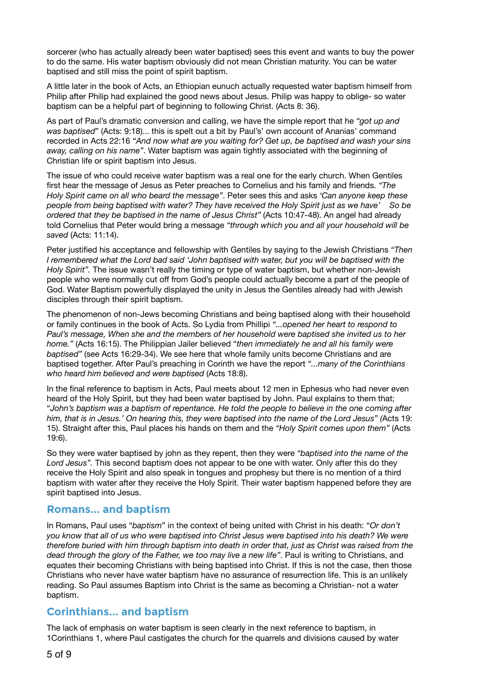sorcerer (who has actually already been water baptised) sees this event and wants to buy the power to do the same. His water baptism obviously did not mean Christian maturity. You can be water baptised and still miss the point of spirit baptism.

A little later in the book of Acts, an Ethiopian eunuch actually requested water baptism himself from Philip after Philip had explained the good news about Jesus. Philip was happy to oblige- so water baptism can be a helpful part of beginning to following Christ. (Acts 8: 36).

As part of Paul's dramatic conversion and calling, we have the simple report that he *"got up and was baptised*" (Acts: 9:18)... this is spelt out a bit by Paul's' own account of Ananias' command recorded in Acts 22:16 *"And now what are you waiting for? Get up, be baptised and wash your sins away, calling on his name"*. Water baptism was again tightly associated with the beginning of Christian life or spirit baptism into Jesus.

The issue of who could receive water baptism was a real one for the early church. When Gentiles first hear the message of Jesus as Peter preaches to Cornelius and his family and friends. *"The Holy Spirit came on all who beard the message"*. Peter sees this and asks *'Can anyone keep these people from being baptised with water? They have received the Holy Spirit just as we have' So be ordered that they be baptised in the name of Jesus Christ"* (Acts 10:47-48). An angel had already told Cornelius that Peter would bring a message *"through which you and all your household will be saved* (Acts: 11:14).

Peter justified his acceptance and fellowship with Gentiles by saying to the Jewish Christians *"Then I remembered what the Lord bad said 'John baptised with water, but you will be baptised with the Holy Spirit".* The issue wasn't really the timing or type of water baptism, but whether non-Jewish people who were normally cut off from God's people could actually become a part of the people of God. Water Baptism powerfully displayed the unity in Jesus the Gentiles already had with Jewish disciples through their spirit baptism.

The phenomenon of non-Jews becoming Christians and being baptised along with their household or family continues in the book of Acts. So Lydia from Phillipi *"...opened her heart to respond to Paul's message, When she and the members of her household were baptised she invited us to her home."* (Acts 16:15). The Philippian Jailer believed "*then immediately he and all his family were baptised"* (see Acts 16:29-34). We see here that whole family units become Christians and are baptised together. After Paul's preaching in Corinth we have the report *"...many of the Corinthians who heard him believed and were baptised* (Acts 18:8).

In the final reference to baptism in Acts, Paul meets about 12 men in Ephesus who had never even heard of the Holy Spirit, but they had been water baptised by John. Paul explains to them that; "*John's baptism was a baptism of repentance. He told the people to believe in the one coming after him, that is in Jesus.' On hearing this, they were baptised into the name of the Lord Jesus" (*Acts 19: 15). Straight after this, Paul places his hands on them and the *"Holy Spirit comes upon them"* (Acts 19:6).

So they were water baptised by john as they repent, then they were *"baptised into the name of the Lord Jesus".* This second baptism does not appear to be one with water. Only after this do they receive the Holy Spirit and also speak in tongues and prophesy but there is no mention of a third baptism with water after they receive the Holy Spirit. Their water baptism happened before they are spirit baptised into Jesus.

### **Romans... and baptism**

In Romans, Paul uses "*baptism*" in the context of being united with Christ in his death: "*Or don't you know that all of us who were baptised into Christ Jesus were baptised into his death? We were therefore buried with him through baptism into death in order that, just as Christ was raised from the dead through the glory of the Father, we too may live a new life"*. Paul is writing to Christians, and equates their becoming Christians with being baptised into Christ. If this is not the case, then those Christians who never have water baptism have no assurance of resurrection life. This is an unlikely reading. So Paul assumes Baptism into Christ is the same as becoming a Christian- not a water baptism.

## **Corinthians... and baptism**

The lack of emphasis on water baptism is seen clearly in the next reference to baptism, in 1Corinthians 1, where Paul castigates the church for the quarrels and divisions caused by water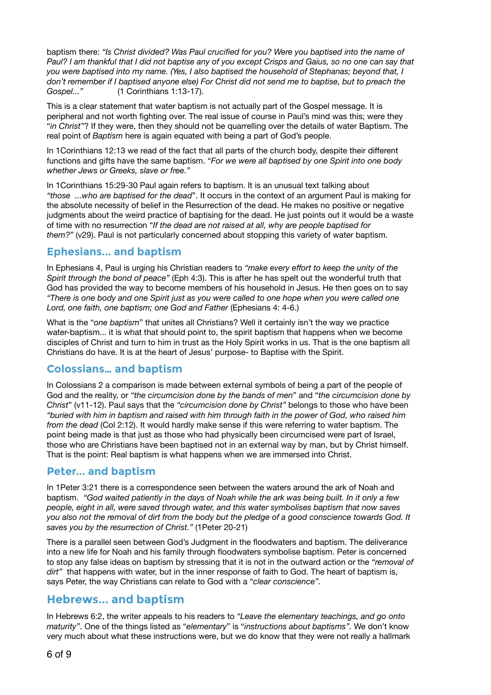baptism there: *"Is Christ divided? Was Paul crucified for you? Were you baptised into the name of Paul? I am thankful that I did not baptise any of you except Crisps and Gaius, so no one can say that you were baptised into my name. (Yes, I also baptised the household of Stephanas; beyond that, I don't remember if I baptised anyone else) For Christ did not send me to baptise, but to preach the Gospel..."* (1 Corinthians 1:13-17).

This is a clear statement that water baptism is not actually part of the Gospel message. It is peripheral and not worth fighting over. The real issue of course in Paul's mind was this; were they "*in Christ"*? If they were, then they should not be quarrelling over the details of water Baptism. The real point of *Baptism* here is again equated with being a part of God's people.

In 1Corinthians 12:13 we read of the fact that all parts of the church body, despite their different functions and gifts have the same baptism. "*For we were all baptised by one Spirit into one body whether Jews or Greeks, slave or free."* 

In 1Corinthians 15:29-30 Paul again refers to baptism. It is an unusual text talking about *"those ...who are baptised for the dead*". It occurs in the context of an argument Paul is making for the absolute necessity of belief in the Resurrection of the dead. He makes no positive or negative judgments about the weird practice of baptising for the dead. He just points out it would be a waste of time with no resurrection "*If the dead are not raised at all, why are people baptised for them?"* (v29). Paul is not particularly concerned about stopping this variety of water baptism.

# **Ephesians... and baptism**

In Ephesians 4, Paul is urging his Christian readers to *"make every effort to keep the unity of the Spirit through the bond of peace"* (Eph 4:3). This is after he has spelt out the wonderful truth that God has provided the way to become members of his household in Jesus. He then goes on to say *"There is one body and one Spirit just as you were called to one hope when you were called one Lord, one faith, one baptism; one God and Father* (Ephesians 4: 4-6.)

What is the "*one baptism*" that unites all Christians? Well it certainly isn't the way we practice water-baptism... it is what that should point to, the spirit baptism that happens when we become disciples of Christ and turn to him in trust as the Holy Spirit works in us. That is the one baptism all Christians do have. It is at the heart of Jesus' purpose- to Baptise with the Spirit.

# **Colossians… and baptism**

In Colossians 2 a comparison is made between external symbols of being a part of the people of God and the reality, or *"the circumcision done by the bands of men*" and "*the circumcision done by Christ*" (v11-12). Paul says that the *"circumcision done by Christ"* belongs to those who have been *"buried with him in baptism and raised with him through faith in the power of God, who raised him from the dead* (Col 2:12). It would hardly make sense if this were referring to water baptism. The point being made is that just as those who had physically been circumcised were part of Israel, those who are Christians have been baptised not in an external way by man, but by Christ himself. That is the point: Real baptism is what happens when we are immersed into Christ.

### **Peter... and baptism**

In 1Peter 3:21 there is a correspondence seen between the waters around the ark of Noah and baptism. *"God waited patiently in the days of Noah while the ark was being built. In it only a few people, eight in all, were saved through water, and this water symbolises baptism that now saves you also not the removal of dirt from the body but the pledge of a good conscience towards God. It saves you by the resurrection of Christ."* (1Peter 20-21)

There is a parallel seen between God's Judgment in the floodwaters and baptism. The deliverance into a new life for Noah and his family through floodwaters symbolise baptism. Peter is concerned to stop any false ideas on baptism by stressing that it is not in the outward action or the *"removal of dirt"* that happens with water, but in the inner response of faith to God. The heart of baptism is, says Peter, the way Christians can relate to God with a "*clear conscience".* 

# **Hebrews... and baptism**

In Hebrews 6:2, the writer appeals to his readers to *"Leave the elementary teachings, and go onto maturity"*. One of the things listed as "*elementary*" is "*instructions about baptisms".* We don't know very much about what these instructions were, but we do know that they were not really a hallmark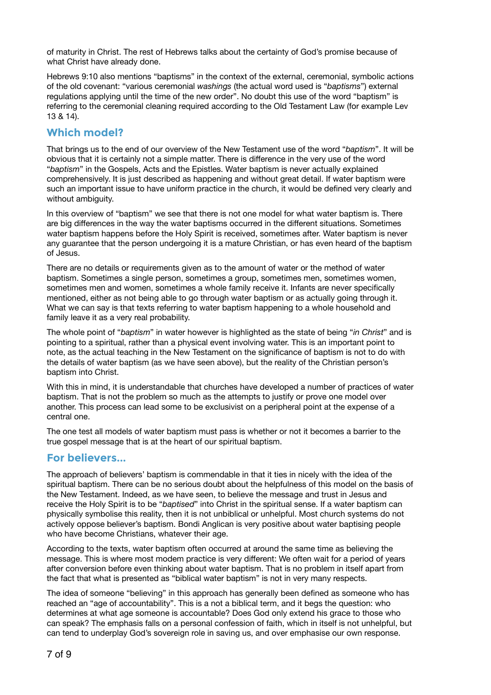of maturity in Christ. The rest of Hebrews talks about the certainty of God's promise because of what Christ have already done.

Hebrews 9:10 also mentions "baptisms" in the context of the external, ceremonial, symbolic actions of the old covenant: "various ceremonial *washings* (the actual word used is "*baptisms*") external regulations applying until the time of the new order". No doubt this use of the word "baptism" is referring to the ceremonial cleaning required according to the Old Testament Law (for example Lev 13 & 14).

## **Which model?**

That brings us to the end of our overview of the New Testament use of the word "*baptism*". It will be obvious that it is certainly not a simple matter. There is difference in the very use of the word "*baptism*" in the Gospels, Acts and the Epistles. Water baptism is never actually explained comprehensively. It is just described as happening and without great detail. If water baptism were such an important issue to have uniform practice in the church, it would be defined very clearly and without ambiguity.

In this overview of "baptism" we see that there is not one model for what water baptism is. There are big differences in the way the water baptisms occurred in the different situations. Sometimes water baptism happens before the Holy Spirit is received, sometimes after. Water baptism is never any guarantee that the person undergoing it is a mature Christian, or has even heard of the baptism of Jesus.

There are no details or requirements given as to the amount of water or the method of water baptism. Sometimes a single person, sometimes a group, sometimes men, sometimes women, sometimes men and women, sometimes a whole family receive it. Infants are never specifically mentioned, either as not being able to go through water baptism or as actually going through it. What we can say is that texts referring to water baptism happening to a whole household and family leave it as a very real probability.

The whole point of "*baptism*" in water however is highlighted as the state of being "*in Christ*" and is pointing to a spiritual, rather than a physical event involving water. This is an important point to note, as the actual teaching in the New Testament on the significance of baptism is not to do with the details of water baptism (as we have seen above), but the reality of the Christian person's baptism into Christ.

With this in mind, it is understandable that churches have developed a number of practices of water baptism. That is not the problem so much as the attempts to justify or prove one model over another. This process can lead some to be exclusivist on a peripheral point at the expense of a central one.

The one test all models of water baptism must pass is whether or not it becomes a barrier to the true gospel message that is at the heart of our spiritual baptism.

### **For believers...**

The approach of believers' baptism is commendable in that it ties in nicely with the idea of the spiritual baptism. There can be no serious doubt about the helpfulness of this model on the basis of the New Testament. Indeed, as we have seen, to believe the message and trust in Jesus and receive the Holy Spirit is to be "*baptised*" into Christ in the spiritual sense. If a water baptism can physically symbolise this reality, then it is not unbiblical or unhelpful. Most church systems do not actively oppose believer's baptism. Bondi Anglican is very positive about water baptising people who have become Christians, whatever their age.

According to the texts, water baptism often occurred at around the same time as believing the message. This is where most modem practice is very different: We often wait for a period of years after conversion before even thinking about water baptism. That is no problem in itself apart from the fact that what is presented as "biblical water baptism" is not in very many respects.

The idea of someone "believing" in this approach has generally been defined as someone who has reached an "age of accountability". This is a not a biblical term, and it begs the question: who determines at what age someone is accountable? Does God only extend his grace to those who can speak? The emphasis falls on a personal confession of faith, which in itself is not unhelpful, but can tend to underplay God's sovereign role in saving us, and over emphasise our own response.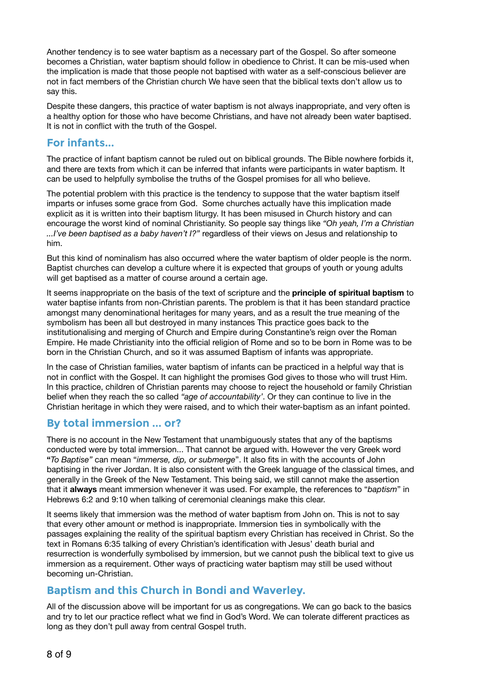Another tendency is to see water baptism as a necessary part of the Gospel. So after someone becomes a Christian, water baptism should follow in obedience to Christ. It can be mis-used when the implication is made that those people not baptised with water as a self-conscious believer are not in fact members of the Christian church We have seen that the biblical texts don't allow us to say this.

Despite these dangers, this practice of water baptism is not always inappropriate, and very often is a healthy option for those who have become Christians, and have not already been water baptised. It is not in conflict with the truth of the Gospel.

## **For infants...**

The practice of infant baptism cannot be ruled out on biblical grounds. The Bible nowhere forbids it, and there are texts from which it can be inferred that infants were participants in water baptism. It can be used to helpfully symbolise the truths of the Gospel promises for all who believe.

The potential problem with this practice is the tendency to suppose that the water baptism itself imparts or infuses some grace from God. Some churches actually have this implication made explicit as it is written into their baptism liturgy. It has been misused in Church history and can encourage the worst kind of nominal Christianity. So people say things like *"Oh yeah, I'm a Christian ...I've been baptised as a baby haven't I?"* regardless of their views on Jesus and relationship to him.

But this kind of nominalism has also occurred where the water baptism of older people is the norm. Baptist churches can develop a culture where it is expected that groups of youth or young adults will get baptised as a matter of course around a certain age.

It seems inappropriate on the basis of the text of scripture and the **principle of spiritual baptism** to water baptise infants from non-Christian parents. The problem is that it has been standard practice amongst many denominational heritages for many years, and as a result the true meaning of the symbolism has been all but destroyed in many instances This practice goes back to the institutionalising and merging of Church and Empire during Constantine's reign over the Roman Empire. He made Christianity into the official religion of Rome and so to be born in Rome was to be born in the Christian Church, and so it was assumed Baptism of infants was appropriate.

In the case of Christian families, water baptism of infants can be practiced in a helpful way that is not in conflict with the Gospel. It can highlight the promises God gives to those who will trust Him. In this practice, children of Christian parents may choose to reject the household or family Christian belief when they reach the so called *"age of accountability'*. Or they can continue to live in the Christian heritage in which they were raised, and to which their water-baptism as an infant pointed.

# **By total immersion ... or?**

There is no account in the New Testament that unambiguously states that any of the baptisms conducted were by total immersion... That cannot be argued with. However the very Greek word **"***To Baptise"* can mean "*immerse, dip, or submerge*". It also fits in with the accounts of John baptising in the river Jordan. It is also consistent with the Greek language of the classical times, and generally in the Greek of the New Testament. This being said, we still cannot make the assertion that it **always** meant immersion whenever it was used. For example, the references to "*baptism*" in Hebrews 6:2 and 9:10 when talking of ceremonial cleanings make this clear.

It seems likely that immersion was the method of water baptism from John on. This is not to say that every other amount or method is inappropriate. Immersion ties in symbolically with the passages explaining the reality of the spiritual baptism every Christian has received in Christ. So the text in Romans 6:35 talking of every Christian's identification with Jesus' death burial and resurrection is wonderfully symbolised by immersion, but we cannot push the biblical text to give us immersion as a requirement. Other ways of practicing water baptism may still be used without becoming un-Christian.

# **Baptism and this Church in Bondi and Waverley.**

All of the discussion above will be important for us as congregations. We can go back to the basics and try to let our practice reflect what we find in God's Word. We can tolerate different practices as long as they don't pull away from central Gospel truth.